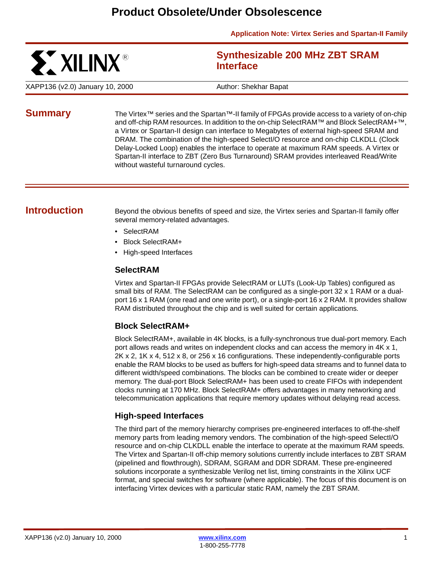# **Product Obsolete/Under Obsolescence**

**Application Note: Virtex Series and Spartan-II Family**

# **ST XILINX®**

**Synthesizable 200 MHz ZBT SRAM Interface**

XAPP136 (v2.0) January 10, 2000 Author: Shekhar Bapat

**Summary** The Virtex<sup>™</sup> series and the Spartan<sup>™-II</sup> family of FPGAs provide access to a variety of on-chip and off-chip RAM resources. In addition to the on-chip SelectRAM™ and Block SelectRAM+™, a Virtex or Spartan-II design can interface to Megabytes of external high-speed SRAM and DRAM. The combination of the high-speed SelectI/O resource and on-chip CLKDLL (Clock Delay-Locked Loop) enables the interface to operate at maximum RAM speeds. A Virtex or Spartan-II interface to ZBT (Zero Bus Turnaround) SRAM provides interleaved Read/Write without wasteful turnaround cycles.

**Introduction** Beyond the obvious benefits of speed and size, the Virtex series and Spartan-II family offer several memory-related advantages.

- SelectRAM
- Block SelectRAM+
- High-speed Interfaces

#### **SelectRAM**

Virtex and Spartan-II FPGAs provide SelectRAM or LUTs (Look-Up Tables) configured as small bits of RAM. The SelectRAM can be configured as a single-port 32 x 1 RAM or a dualport 16 x 1 RAM (one read and one write port), or a single-port 16 x 2 RAM. It provides shallow RAM distributed throughout the chip and is well suited for certain applications.

#### **Block SelectRAM+**

Block SelectRAM+, available in 4K blocks, is a fully-synchronous true dual-port memory. Each port allows reads and writes on independent clocks and can access the memory in 4K x 1, 2K x 2, 1K x 4, 512 x 8, or 256 x 16 configurations. These independently-configurable ports enable the RAM blocks to be used as buffers for high-speed data streams and to funnel data to different width/speed combinations. The blocks can be combined to create wider or deeper memory. The dual-port Block SelectRAM+ has been used to create FIFOs with independent clocks running at 170 MHz. Block SelectRAM+ offers advantages in many networking and telecommunication applications that require memory updates without delaying read access.

### **High-speed Interfaces**

The third part of the memory hierarchy comprises pre-engineered interfaces to off-the-shelf memory parts from leading memory vendors. The combination of the high-speed SelectI/O resource and on-chip CLKDLL enable the interface to operate at the maximum RAM speeds. The Virtex and Spartan-II off-chip memory solutions currently include interfaces to ZBT SRAM (pipelined and flowthrough), SDRAM, SGRAM and DDR SDRAM. These pre-engineered solutions incorporate a synthesizable Verilog net list, timing constraints in the Xilinx UCF format, and special switches for software (where applicable). The focus of this document is on interfacing Virtex devices with a particular static RAM, namely the ZBT SRAM.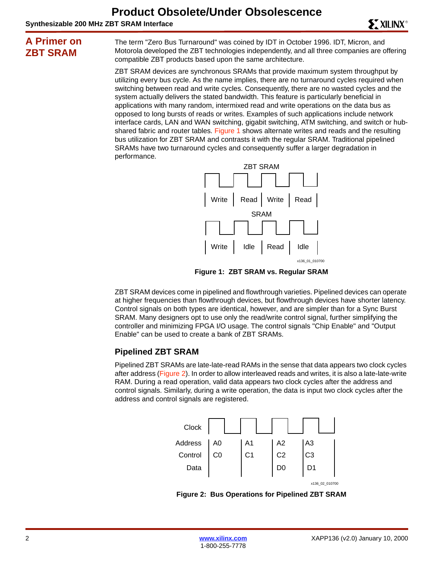#### **Synthesizable 200 MHz ZBT SRAM Interface** <sup>R</sup>

## **A Primer on ZBT SRAM**

The term "Zero Bus Turnaround" was coined by IDT in October 1996. IDT, Micron, and Motorola developed the ZBT technologies independently, and all three companies are offering compatible ZBT products based upon the same architecture.

ZBT SRAM devices are synchronous SRAMs that provide maximum system throughput by utilizing every bus cycle. As the name implies, there are no turnaround cycles required when switching between read and write cycles. Consequently, there are no wasted cycles and the system actually delivers the stated bandwidth. This feature is particularly beneficial in applications with many random, intermixed read and write operations on the data bus as opposed to long bursts of reads or writes. Examples of such applications include network interface cards, LAN and WAN switching, gigabit switching, ATM switching, and switch or hub-shared fabric and router tables. [Figure 1](#page-1-0) shows alternate writes and reads and the resulting bus utilization for ZBT SRAM and contrasts it with the regular SRAM. Traditional pipelined SRAMs have two turnaround cycles and consequently suffer a larger degradation in performance.



**Figure 1: ZBT SRAM vs. Regular SRAM**

<span id="page-1-0"></span>ZBT SRAM devices come in pipelined and flowthrough varieties. Pipelined devices can operate at higher frequencies than flowthrough devices, but flowthrough devices have shorter latency. Control signals on both types are identical, however, and are simpler than for a Sync Burst SRAM. Many designers opt to use only the read/write control signal, further simplifying the controller and minimizing FPGA I/O usage. The control signals "Chip Enable" and "Output Enable" can be used to create a bank of ZBT SRAMs.

### **Pipelined ZBT SRAM**

Pipelined ZBT SRAMs are late-late-read RAMs in the sense that data appears two clock cycles after address [\(Figure 2\)](#page-1-1). In order to allow interleaved reads and writes, it is also a late-late-write RAM. During a read operation, valid data appears two clock cycles after the address and control signals. Similarly, during a write operation, the data is input two clock cycles after the address and control signals are registered.



<span id="page-1-1"></span>**Figure 2: Bus Operations for Pipelined ZBT SRAM**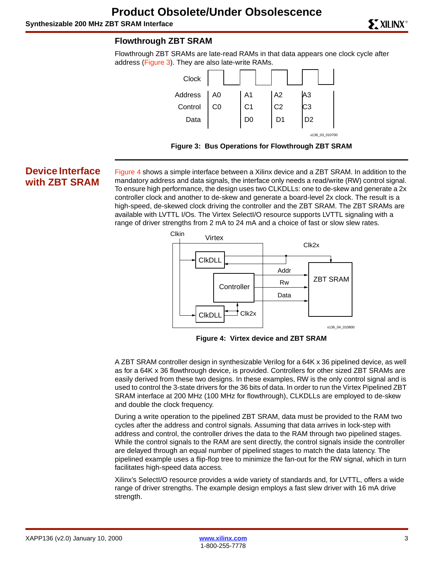## **Flowthrough ZBT SRAM**

Flowthrough ZBT SRAMs are late-read RAMs in that data appears one clock cycle after address ([Figure 3](#page-2-0)). They are also late-write RAMs.





# **Device Interface with ZBT SRAM**

<span id="page-2-0"></span>[Figure 4](#page-2-1) shows a simple interface between a Xilinx device and a ZBT SRAM. In addition to the mandatory address and data signals, the interface only needs a read/write (RW) control signal. To ensure high performance, the design uses two CLKDLLs: one to de-skew and generate a 2x controller clock and another to de-skew and generate a board-level 2x clock. The result is a high-speed, de-skewed clock driving the controller and the ZBT SRAM. The ZBT SRAMs are available with LVTTL I/Os. The Virtex SelectI/O resource supports LVTTL signaling with a range of driver strengths from 2 mA to 24 mA and a choice of fast or slow slew rates.



**Figure 4: Virtex device and ZBT SRAM**

<span id="page-2-1"></span>A ZBT SRAM controller design in synthesizable Verilog for a 64K x 36 pipelined device, as well as for a 64K x 36 flowthrough device, is provided. Controllers for other sized ZBT SRAMs are easily derived from these two designs. In these examples, RW is the only control signal and is used to control the 3-state drivers for the 36 bits of data. In order to run the Virtex Pipelined ZBT SRAM interface at 200 MHz (100 MHz for flowthrough), CLKDLLs are employed to de-skew and double the clock frequency.

During a write operation to the pipelined ZBT SRAM, data must be provided to the RAM two cycles after the address and control signals. Assuming that data arrives in lock-step with address and control, the controller drives the data to the RAM through two pipelined stages. While the control signals to the RAM are sent directly, the control signals inside the controller are delayed through an equal number of pipelined stages to match the data latency. The pipelined example uses a flip-flop tree to minimize the fan-out for the RW signal, which in turn facilitates high-speed data access.

Xilinx's SelectI/O resource provides a wide variety of standards and, for LVTTL, offers a wide range of driver strengths. The example design employs a fast slew driver with 16 mA drive strength.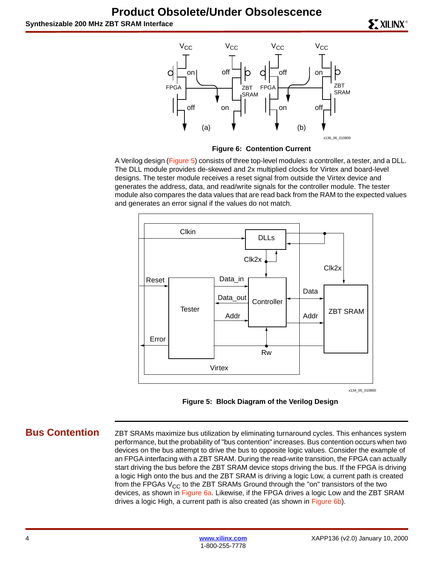

**Figure 6: Contention Current**

<span id="page-3-0"></span>A Verilog design [\(Figure 5\)](#page-3-1) consists of three top-level modules: a controller, a tester, and a DLL. The DLL module provides de-skewed and 2x multiplied clocks for Virtex and board-level designs. The tester module receives a reset signal from outside the Virtex device and generates the address, data, and read/write signals for the controller module. The tester module also compares the data values that are read back from the RAM to the expected values and generates an error signal if the values do not match.



x134\_05\_010800

<span id="page-3-1"></span>**Figure 5: Block Diagram of the Verilog Design**

**Bus Contention** ZBT SRAMs maximize bus utilization by eliminating turnaround cycles. This enhances system performance, but the probability of "bus contention" increases. Bus contention occurs when two devices on the bus attempt to drive the bus to opposite logic values. Consider the example of an FPGA interfacing with a ZBT SRAM. During the read-write transition, the FPGA can actually start driving the bus before the ZBT SRAM device stops driving the bus. If the FPGA is driving a logic High onto the bus and the ZBT SRAM is driving a logic Low, a current path is created from the FPGAs  $V_{CC}$  to the ZBT SRAMs Ground through the "on" transistors of the two devices, as shown in [Figure 6a. L](#page-3-0)ikewise, if the FPGA drives a logic Low and the ZBT SRAM drives a logic High, a current path is also created (as shown in [Figure 6b\).](#page-3-0)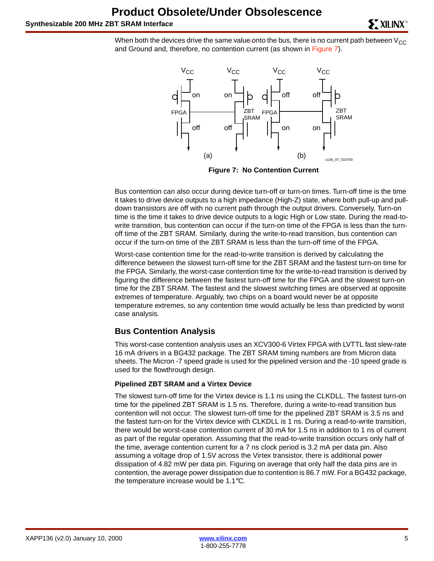When both the devices drive the same value-onto the bus, there is no current path between  $V_{CC}$ and Ground and, therefore, no contention current (as shown in [Figure 7](#page-4-0)).



**Figure 7: No Contention Current**

<span id="page-4-0"></span>Bus contention can also occur during device turn-off or turn-on times. Turn-off time is the time it takes to drive device outputs to a high impedance (High-Z) state, where both pull-up and pulldown transistors are off with no current path through the output drivers. Conversely, Turn-on time is the time it takes to drive device outputs to a logic High or Low state. During the read-towrite transition, bus contention can occur if the turn-on time of the FPGA is less than the turnoff time of the ZBT SRAM. Similarly, during the write-to-read transition, bus contention can occur if the turn-on time of the ZBT SRAM is less than the turn-off time of the FPGA.

Worst-case contention time for the read-to-write transition is derived by calculating the difference between the slowest turn-off time for the ZBT SRAM and the fastest turn-on time for the FPGA. Similarly, the worst-case contention time for the write-to-read transition is derived by figuring the difference between the fastest turn-off time for the FPGA and the slowest turn-on time for the ZBT SRAM. The fastest and the slowest switching times are observed at opposite extremes of temperature. Arguably, two chips on a board would never be at opposite temperature extremes, so any contention time would actually be less than predicted by worst case analysis.

## **Bus Contention Analysis**

This worst-case contention analysis uses an XCV300-6 Virtex FPGA with LVTTL fast slew-rate 16 mA drivers in a BG432 package. The ZBT SRAM timing numbers are from Micron data sheets. The Micron -7 speed grade is used for the pipelined version and the -10 speed grade is used for the flowthrough design.

#### **Pipelined ZBT SRAM and a Virtex Device**

The slowest turn-off time for the Virtex device is 1.1 ns using the CLKDLL. The fastest turn-on time for the pipelined ZBT SRAM is 1.5 ns. Therefore, during a write-to-read transition bus contention will not occur. The slowest turn-off time for the pipelined ZBT SRAM is 3.5 ns and the fastest turn-on for the Virtex device with CLKDLL is 1 ns. During a read-to-write transition, there would be worst-case contention current of 30 mA for 1.5 ns in addition to 1 ns of current as part of the regular operation. Assuming that the read-to-write transition occurs only half of the time, average contention current for a 7 ns clock period is 3.2 mA per data pin. Also assuming a voltage drop of 1.5V across the Virtex transistor, there is additional power dissipation of 4.82 mW per data pin. Figuring on average that only half the data pins are in contention, the average power dissipation due to contention is 86.7 mW. For a BG432 package, the temperature increase would be 1.1°C.